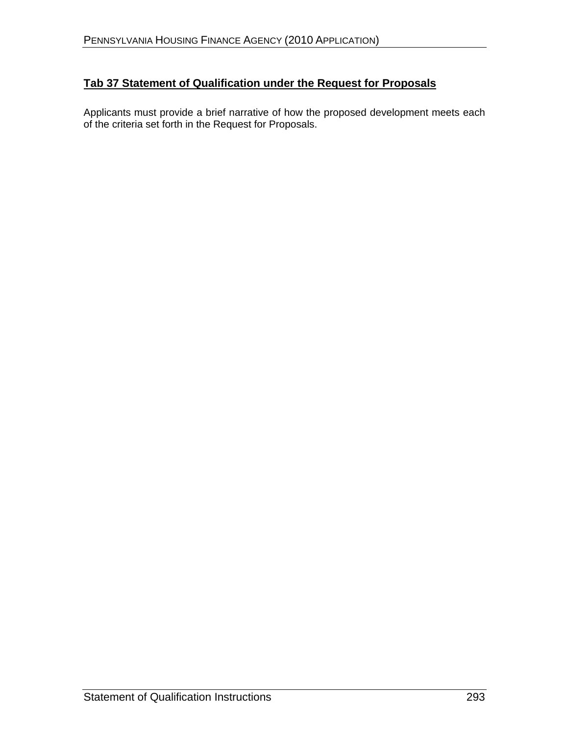# **Tab 37 Statement of Qualification under the Request for Proposals**

Applicants must provide a brief narrative of how the proposed development meets each of the criteria set forth in the Request for Proposals.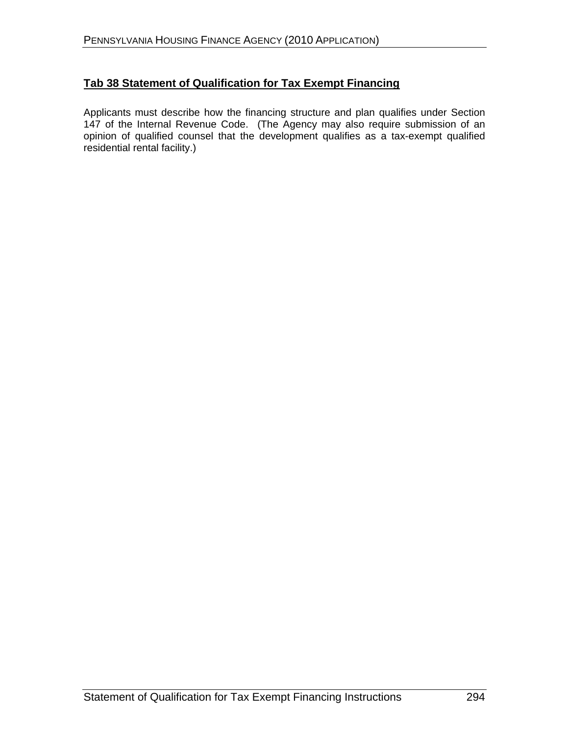### **Tab 38 Statement of Qualification for Tax Exempt Financing**

Applicants must describe how the financing structure and plan qualifies under Section 147 of the Internal Revenue Code. (The Agency may also require submission of an opinion of qualified counsel that the development qualifiesas a tax-exempt qualified residential rental facility.)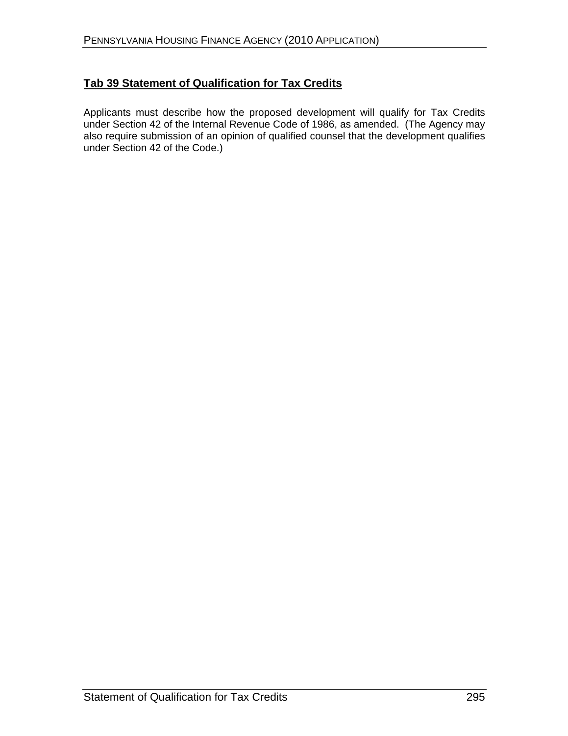## **Tab 39 Statement of Qualification for Tax Credits**

Applicants must describe how the proposed development will qualify for Tax Credits under Section 42 of the Internal Revenue Code of 1986, as amended. (The Agency may also require submission of an opinion of qualified counsel that the development qualifies under Section 42 of the Code.)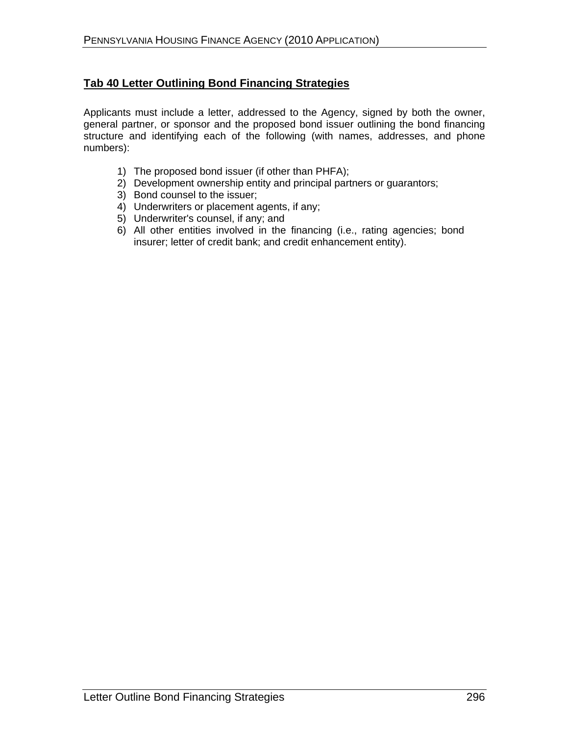#### **Tab 40 Letter Outlining Bond Financing Strategies**

Applicants must include a letter, addressed to the Agency, signed by both the owner, general partner, or sponsor and the proposed bond issuer outlining the bond financing structure and identifying each of the following (with names, addresses, and phone numbers): numbers):

- 1) The proposed bond issuer (if other than PHFA);
- 2) Development ownership entity and principal partners or guarantors;
- 3) Bond counsel to the issuer;
- 4) Underwriters or placement agents, if any;
- 5) Underwriter's counsel, if any; and
- 6) All other entities involved in the financing (i.e., rating agencies; bond insurer; letter of credit bank; and credit enhancement entity).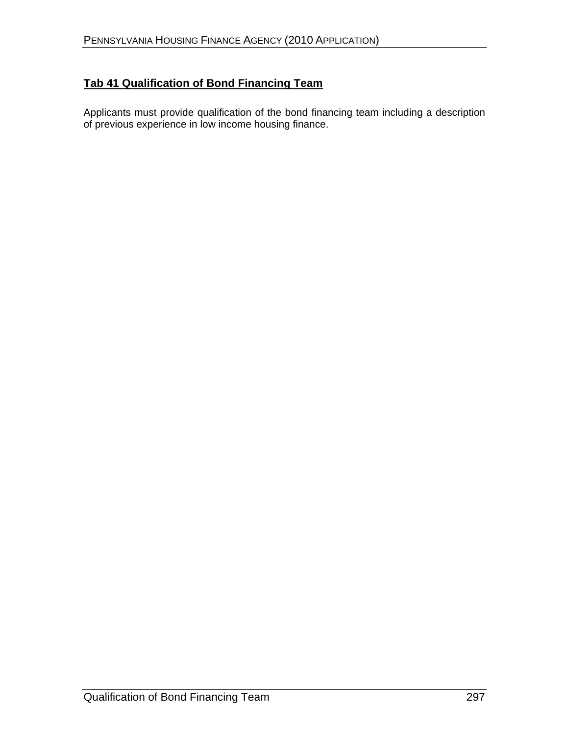# **Tab 41 Qualification of Bond Financing Team**

Applicants must provide qualification of the bond financing team including a description of previous experience in low income housing finance.